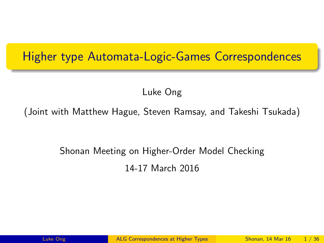# <span id="page-0-0"></span>Higher type Automata-Logic-Games Correspondences

Luke Ong

(Joint with Matthew Hague, Steven Ramsay, and Takeshi Tsukada)

# Shonan Meeting on Higher-Order Model Checking 14-17 March 2016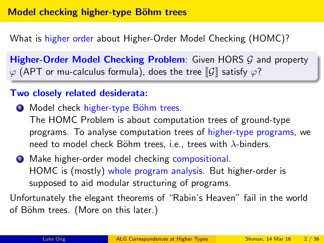What is higher order about Higher-Order Model Checking (HOMC)?

Higher-Order Model Checking Problem: Given HORS G and property  $\varphi$  (APT or mu-calculus formula), does the tree  $\llbracket \mathcal{G} \rrbracket$  satisfy  $\varphi$ ?

### Two closely related desiderata:

- **1** Model check higher-type Böhm trees. The HOMC Problem is about computation trees of ground-type programs. To analyse computation trees of higher-type programs, we need to model check Böhm trees, i.e., trees with  $\lambda$ -binders.
- **2** Make higher-order model checking compositional. HOMC is (mostly) whole program analysis. But higher-order is supposed to aid modular structuring of programs.

Unfortunately the elegant theorems of "Rabin's Heaven" fail in the world of Böhm trees. (More on this later.)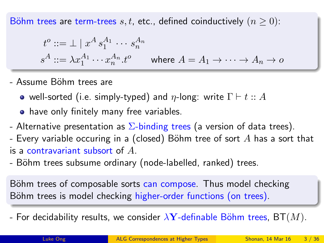Böhm trees are term-trees s, t, etc., defined coinductively  $(n \geq 0)$ :

$$
t^o ::= \bot \mid x^A s_1^{A_1} \cdots s_n^{A_n}
$$
  

$$
s^A ::= \lambda x_1^{A_1} \cdots x_n^{A_n} . t^o \qquad \text{where } A = A_1 \rightarrow \cdots \rightarrow A_n \rightarrow o
$$

- Assume B¨ohm trees are
	- well-sorted (i.e. simply-typed) and  $\eta$ -long: write  $\Gamma \vdash t :: A$
	- **•** have only finitely many free variables.
- Alternative presentation as  $\Sigma$ -binding trees (a version of data trees).
- Every variable occuring in a (closed) Böhm tree of sort  $A$  has a sort that is a contravariant subsort of  $A$ .
- Böhm trees subsume ordinary (node-labelled, ranked) trees.

Böhm trees of composable sorts can compose. Thus model checking Böhm trees is model checking higher-order functions (on trees).

- For decidability results, we consider  $\lambda$ Y-definable Böhm trees, BT $(M)$ .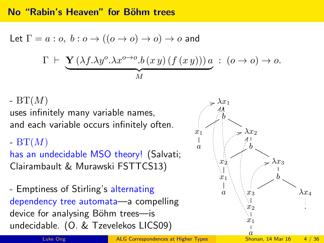#### No "Rabin's Heaven" for Böhm trees

Let 
$$
\Gamma = a : o, b : o \rightarrow ((o \rightarrow o) \rightarrow o) \rightarrow o
$$
 and  
\n
$$
\Gamma \vdash \underbrace{\mathbf{Y} (\lambda f. \lambda y^o. \lambda x^{o \rightarrow o}.b (x y) (f (x y)))}_{M} a : (o \rightarrow o) \rightarrow o.
$$

-  $BT(M)$ 

uses infinitely many variable names, and each variable occurs infinitely often.

-  $BT(M)$ 

has an undecidable MSO theory! (Salvati; Clairambault & Murawski FSTTCS13)

- Emptiness of Stirling's alternating dependency tree automata—a compelling device for analysing Böhm trees—is undecidable. (O. & Tzevelekos LICS09)

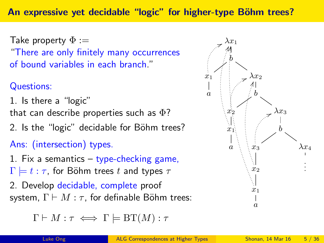Take property  $\Phi :=$ "There are only finitely many occurrences of bound variables in each branch."

## Questions:

1. Is there a "logic" that can describe properties such as  $\Phi$ ?

2. Is the "logic" decidable for Böhm trees?

## Ans: (intersection) types.

1. Fix a semantics  $-$  type-checking game,  $\Gamma \models t : \tau$ , for Böhm trees t and types  $\tau$ 

2. Develop decidable, complete proof system,  $\Gamma \vdash M : \tau$ , for definable Böhm trees:

$$
\Gamma \vdash M : \tau \iff \Gamma \models \operatorname{BT}(M) : \tau
$$

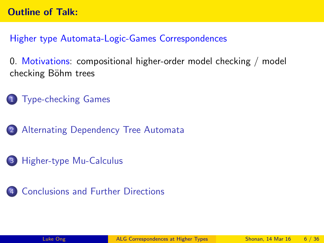Higher type Automata-Logic-Games Correspondences

0. Motivations: compositional higher-order model checking / model checking Böhm trees

1 [Type-checking Games](#page-6-0)

2 [Alternating Dependency Tree Automata](#page-14-0)

3 [Higher-type Mu-Calculus](#page-27-0)

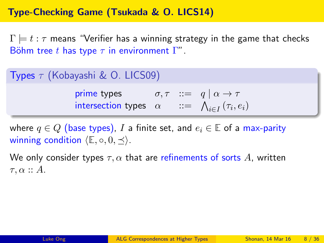### <span id="page-6-0"></span>Type-Checking Game (Tsukada & O. LICS14)

 $\Gamma \models t : \tau$  means "Verifier has a winning strategy in the game that checks Böhm tree t has type  $\tau$  in environment  $\Gamma''$ .

|  | Types $\tau$ (Kobayashi & O. LICS09) |  |  |
|--|--------------------------------------|--|--|
|--|--------------------------------------|--|--|

prime types  $\sigma, \tau \ ::=\ q \mid \alpha \to \tau$ intersection types  $\alpha$  ::=  $\bigwedge_{i \in I} (\tau_i, e_i)$ 

where  $q \in Q$  (base types), I a finite set, and  $e_i \in \mathbb{E}$  of a max-parity winning condition  $\langle \mathbb{E}, \circ, 0, \prec \rangle$ .

We only consider types  $\tau, \alpha$  that are refinements of sorts A, written  $\tau, \alpha :: A$ .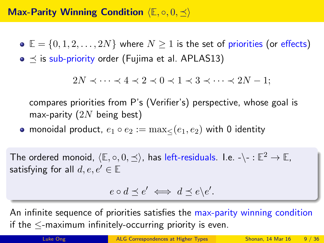### **Max-Parity Winning Condition** (E, o, 0,  $\preceq$ )

- $\bullet \mathbb{E} = \{0, 1, 2, \ldots, 2N\}$  where  $N \geq 1$  is the set of priorities (or effects)
- $\bullet \preceq$  is sub-priority order (Fujima et al. APLAS13)

 $2N \prec \cdots \prec 4 \prec 2 \prec 0 \prec 1 \prec 3 \prec \cdots \prec 2N-1$ :

compares priorities from P's (Verifier's) perspective, whose goal is max-parity  $(2N)$  being best)

• monoidal product,  $e_1 \circ e_2 := \max \langle (e_1, e_2) \rangle$  with 0 identity

The ordered monoid,  $\langle \mathbb{E}, \circ, 0, \preceq \rangle$ , has left-residuals. I.e. - $\backslash$ - :  $\mathbb{E}^2 \to \mathbb{E}$ , satisfying for all  $d, e, e' \in \mathbb{E}$ 

$$
e \circ d \preceq e' \iff d \preceq e \backslash e'.
$$

An infinite sequence of priorities satisfies the max-parity winning condition if the ≤-maximum infinitely-occurring priority is even.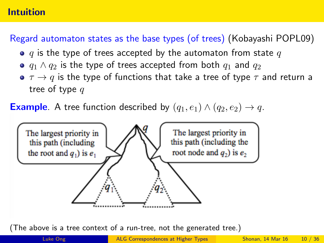### Intuition

## Regard automaton states as the base types (of trees) (Kobayashi POPL09)

- $\bullet$  q is the type of trees accepted by the automaton from state q
- $q_1 \wedge q_2$  is the type of trees accepted from both  $q_1$  and  $q_2$
- $\bullet \tau \rightarrow q$  is the type of functions that take a tree of type  $\tau$  and return a tree of type  $q$

**Example.** A tree function described by  $(q_1, e_1) \wedge (q_2, e_2) \rightarrow q$ .



(The above is a tree context of a run-tree, not the generated tree.)

Luke Ong [ALG Correspondences at Higher Types](#page-0-0) Shonan, 14 Mar 16 10 / 36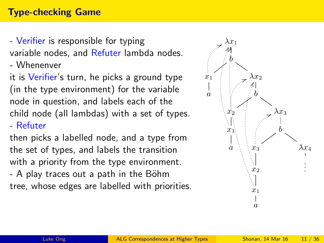### Type-checking Game

- Verifier is responsible for typing variable nodes, and Refuter lambda nodes.

- Whenenver

it is Verifier's turn, he picks a ground type (in the type environment) for the variable node in question, and labels each of the child node (all lambdas) with a set of types. - Refuter

then picks a labelled node, and a type from the set of types, and labels the transition with a priority from the type environment.

 $-$  A play traces out a path in the Böhm tree, whose edges are labelled with priorities.

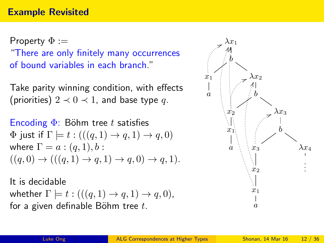Property  $\Phi :=$ "There are only finitely many occurrences of bound variables in each branch."

Take parity winning condition, with effects (priorities)  $2 \prec 0 \prec 1$ , and base type q.

Encoding  $\Phi$ : Böhm tree t satisfies  $\Phi$  just if  $\Gamma \models t : (((q, 1) \rightarrow q, 1) \rightarrow q, 0)$ where  $\Gamma = a : (q, 1), b:$  $((q, 0) \rightarrow (((q, 1) \rightarrow q, 1) \rightarrow q, 0) \rightarrow q, 1).$ 

It is decidable whether  $\Gamma \models t : (((q, 1) \rightarrow q, 1) \rightarrow q, 0),$ for a given definable Böhm tree  $t$ .

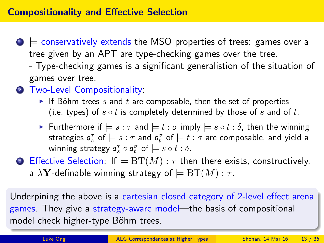- $\bullet \models$  conservatively extends the MSO properties of trees: games over a tree given by an APT are type-checking games over the tree.
	- Type-checking games is a significant generalistion of the situation of games over tree.
- 2 Two-Level Compositionality:
	- If Böhm trees s and t are composable, then the set of properties (i.e. types) of  $s \circ t$  is completely determined by those of s and of t.
	- **►** Furthermore if  $\models s : \tau$  and  $\models t : \sigma$  imply  $\models s \circ t : \delta$ , then the winning strategies  $\mathfrak{s}^\tau_s$  of  $\models s : \tau$  and  $\mathfrak{s}^\sigma_t$  of  $\models t : \sigma$  are composable, and yield a winning strategy  $\mathfrak{s}_s^{\tau} \circ \mathfrak{s}_t^{\sigma}$  of  $\models s \circ t : \delta$ .
- **3** Effective Selection: If  $\models BT(M) : \tau$  then there exists, constructively, a  $\lambda$ **Y**-definable winning strategy of  $\models BT(M) : \tau$ .

Underpining the above is a cartesian closed category of 2-level effect arena games. They give a strategy-aware model—the basis of compositional model check higher-type Böhm trees.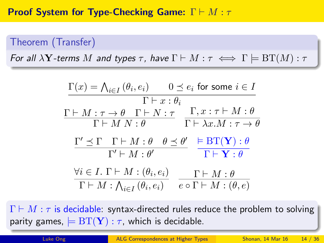## Theorem (Transfer)

For all  $\lambda Y$ -terms M and types  $\tau$ , have  $\Gamma \vdash M : \tau \iff \Gamma \models BT(M) : \tau$ 

$$
\frac{\Gamma(x) = \bigwedge_{i \in I} (\theta_i, e_i) \qquad 0 \le e_i \text{ for some } i \in I}{\Gamma \vdash x : \theta_i}
$$
\n
$$
\frac{\Gamma \vdash M : \tau \to \theta \quad \Gamma \vdash N : \tau \qquad \Gamma, x : \tau \vdash M : \theta}{\Gamma \vdash M \ N : \theta} \qquad \frac{\Gamma, x : \tau \vdash M : \theta}{\Gamma \vdash \lambda x.M : \tau \to \theta}
$$
\n
$$
\frac{\Gamma' \preceq \Gamma \quad \Gamma \vdash M : \theta \quad \theta \preceq \theta'}{\Gamma' \vdash M : \theta'} \qquad \frac{\models \text{BT}(\mathbf{Y}) : \theta}{\Gamma \vdash \mathbf{Y} : \theta}
$$
\n
$$
\frac{\forall i \in I. \ \Gamma \vdash M : (\theta_i, e_i)}{\Gamma \vdash M : \bigwedge_{i \in I} (\theta_i, e_i)} \qquad \frac{\Gamma \vdash M : \theta}{e \circ \Gamma \vdash M : (\theta, e)}
$$

 $\Gamma \vdash M : \tau$  is decidable: syntax-directed rules reduce the problem to solving parity games,  $= B T(Y) : \tau$ , which is decidable.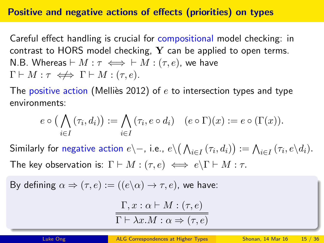#### Positive and negative actions of effects (priorities) on types

Careful effect handling is crucial for compositional model checking: in contrast to HORS model checking,  $Y$  can be applied to open terms. N.B. Whereas  $\vdash M : \tau \iff \vdash M : (\tau, e)$ , we have  $\Gamma \vdash M : \tau \iff \Gamma \vdash M : (\tau, e).$ 

The positive action (Mellies 2012) of  $e$  to intersection types and type environments:

$$
e \circ \big(\bigwedge_{i \in I} (\tau_i, d_i)\big) := \bigwedge_{i \in I} (\tau_i, e \circ d_i) \quad (e \circ \Gamma)(x) := e \circ (\Gamma(x)).
$$

Similarly for negative action  $e\setminus -$ , i.e.,  $e\setminus\big(\bigwedge_{i\in I}(\tau_i,d_i)\big):=\bigwedge_{i\in I}(\tau_i,e\setminus d_i).$ The key observation is:  $\Gamma \vdash M : (\tau, e) \iff e \setminus \Gamma \vdash M : \tau$ .

By defining 
$$
\alpha \Rightarrow (\tau, e) := ((e \backslash \alpha) \rightarrow \tau, e)
$$
, we have:

$$
\frac{\Gamma, x : \alpha \vdash M : (\tau, e)}{\Gamma \vdash \lambda x. M : \alpha \Rightarrow (\tau, e)}
$$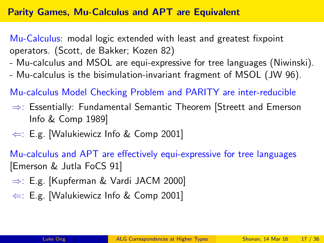### <span id="page-14-0"></span>Parity Games, Mu-Calculus and APT are Equivalent

Mu-Calculus: modal logic extended with least and greatest fixpoint operators. (Scott, de Bakker; Kozen 82)

- Mu-calculus and MSOL are equi-expressive for tree languages (Niwinski).
- Mu-calculus is the bisimulation-invariant fragment of MSOL (JW 96).

Mu-calculus Model Checking Problem and PARITY are inter-reducible

- ⇒: Essentially: Fundamental Semantic Theorem [Streett and Emerson Info & Comp 1989]
- $\Leftarrow$ : E.g. [Walukiewicz Info & Comp 2001]

Mu-calculus and APT are effectively equi-expressive for tree languages [Emerson & Jutla FoCS 91]

- ⇒: E.g. [Kupferman & Vardi JACM 2000]
- $\Leftarrow$ : E.g. [Walukiewicz Info & Comp 2001]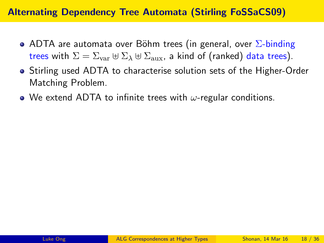### Alternating Dependency Tree Automata (Stirling FoSSaCS09)

- ADTA are automata over Böhm trees (in general, over  $\Sigma$ -binding trees with  $\Sigma = \Sigma_{var} \oplus \Sigma_{\lambda} \oplus \Sigma_{aux}$ , a kind of (ranked) data trees).
- Stirling used ADTA to characterise solution sets of the Higher-Order Matching Problem.
- We extend ADTA to infinite trees with  $\omega$ -regular conditions.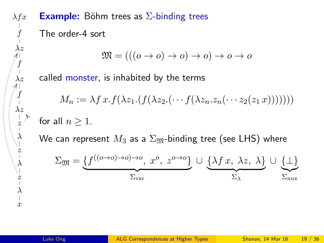$\lambda f x$ f  $\lambda z$ f  $\lambda z$ f  $\lambda z$  $\frac{1}{z}$ Z λ z  $\ddot{\phantom{0}}$ λ z λ  $\frac{1}{x}$ 

**Example:** Böhm trees as  $\Sigma$ -binding trees

The order-4 sort

$$
\mathfrak{M} = (((o \to o) \to o) \to o) \to o \to o
$$

called monster, is inhabited by the terms

$$
M_n := \lambda f \, x \cdot f(\lambda z_1 \cdot (f(\lambda z_2 \cdot (\cdots f(\lambda z_n \cdot z_n (\cdots z_2 (z_1 \, x)))))))
$$
 for all  $n > 1$ .

We can represent  $M_3$  as a  $\Sigma_{\mathfrak{M}}$ -binding tree (see LHS) where

$$
\Sigma_{\mathfrak{M}} = \underbrace{\{f^{((o \to o) \to o) \to o}, x^o, x^o, z^{o \to o}\}}_{\Sigma_{\text{var}}} \cup \underbrace{\{\lambda f x, \lambda z, \lambda\}}_{\Sigma_{\lambda}} \cup \underbrace{\{\perp\}}_{\Sigma_{\text{aux}}}
$$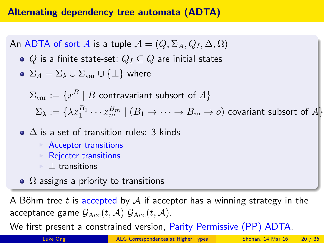### Alternating dependency tree automata (ADTA)

An ADTA of sort A is a tuple  $\mathcal{A} = (Q, \Sigma_A, Q_I, \Delta, \Omega)$ 

 $\bullet$  Q is a finite state-set;  $Q_I \subseteq Q$  are initial states

• 
$$
\Sigma_A = \Sigma_\lambda \cup \Sigma_{\text{var}} \cup {\{\perp\}}
$$
 where

 $\Sigma_{\mathrm{var}}:=\{x^B\mid B$  contravariant subsort of  $A\}$ 

 $\Sigma_\lambda:=\{\lambda x_1^{B_1}\cdots x_m^{B_m}\mid (B_1\to\cdots\to B_m\to o)$  covariant subsort of  $A\}$ 

- $\bullet$   $\Delta$  is a set of transition rules: 3 kinds
	- $\triangleright$  Acceptor transitions
	- $\triangleright$  Rejecter transitions
	- $\blacksquare$  **L** transitions
- $\Omega$  assigns a priority to transitions

A Böhm tree t is accepted by A if acceptor has a winning strategy in the acceptance game  $G_{\text{Acc}}(t, \mathcal{A})$   $G_{\text{Acc}}(t, \mathcal{A})$ .

We first present a constrained version, Parity Permissive (PP) ADTA.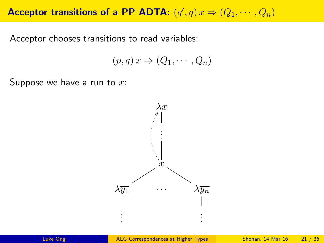# Acceptor transitions of a PP ADTA:  $(q', q) x \Rightarrow (Q_1, \dots, Q_n)$

Acceptor chooses transitions to read variables:

$$
(p,q)x \Rightarrow (Q_1,\cdots,Q_n)
$$

Suppose we have a run to  $x$ :

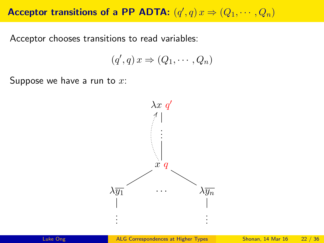# Acceptor transitions of a PP ADTA:  $(q', q) x \Rightarrow (Q_1, \dots, Q_n)$

Acceptor chooses transitions to read variables:

$$
(q',q)x \Rightarrow (Q_1, \cdots, Q_n)
$$

Suppose we have a run to  $x$ :

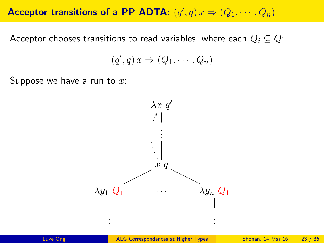# Acceptor transitions of a PP ADTA:  $(q', q) x \Rightarrow (Q_1, \dots, Q_n)$

Acceptor chooses transitions to read variables, where each  $Q_i \subseteq Q$ :

$$
(q',q)x \Rightarrow (Q_1, \cdots, Q_n)
$$

Suppose we have a run to  $x$ :

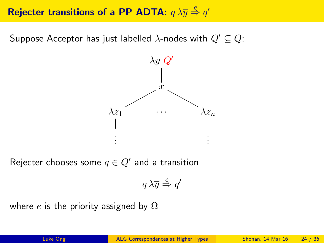# Rejecter transitions of a PP ADTA:  $q\lambda \overline{y} \stackrel{e}{\Rightarrow} q'$

Suppose Acceptor has just labelled  $\lambda$ -nodes with  $Q' \subseteq Q$ :



Rejecter chooses some  $q \in Q'$  and a transition

$$
q\,\lambda\overline{y} \stackrel{e}{\Rightarrow} q'
$$

where e is the priority assigned by  $\Omega$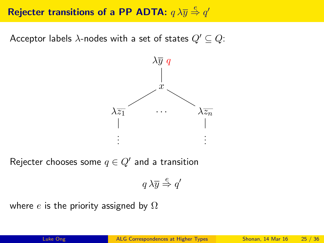# Rejecter transitions of a PP ADTA:  $q\lambda \overline{y} \stackrel{e}{\Rightarrow} q'$

Acceptor labels  $\lambda$ -nodes with a set of states  $Q' \subseteq Q$ :



Rejecter chooses some  $q \in Q'$  and a transition

$$
q\,\lambda\overline{y} \stackrel{e}{\Rightarrow} q'
$$

where e is the priority assigned by  $\Omega$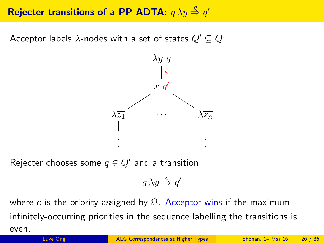# Rejecter transitions of a PP ADTA:  $q\lambda \overline{y} \stackrel{e}{\Rightarrow} q'$

Acceptor labels  $\lambda$ -nodes with a set of states  $Q' \subseteq Q$ :



Rejecter chooses some  $q \in Q'$  and a transition

$$
q\,\lambda\overline{y} \stackrel{e}{\Rightarrow} q'
$$

where e is the priority assigned by  $\Omega$ . Acceptor wins if the maximum infinitely-occurring priorities in the sequence labelling the transitions is even.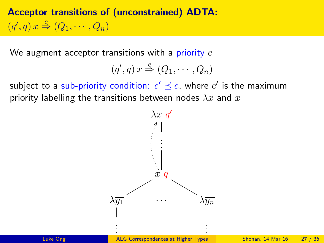Acceptor transitions of (unconstrained) ADTA:  $(q', q) x \stackrel{e}{\Rightarrow} (Q_1, \cdots, Q_n)$ 

We augment acceptor transitions with a priority  $e$ 

$$
(q',q)x \stackrel{e}{\Rightarrow} (Q_1,\cdots,Q_n)
$$

subject to a sub-priority condition:  $e' \preceq e$ , where  $e'$  is the maximum priority labelling the transitions between nodes  $\lambda x$  and  $x$ 

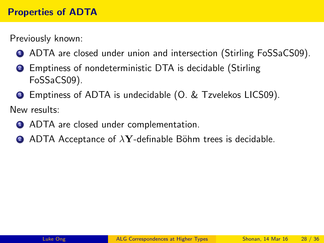Previously known:

- **1** ADTA are closed under union and intersection (Stirling FoSSaCS09).
- <sup>2</sup> Emptiness of nondeterministic DTA is decidable (Stirling FoSSaCS09).
- <sup>3</sup> Emptiness of ADTA is undecidable (O. & Tzvelekos LICS09).

New results:

- **1** ADTA are closed under complementation.
- **2** ADTA Acceptance of  $\lambda$ **Y**-definable Böhm trees is decidable.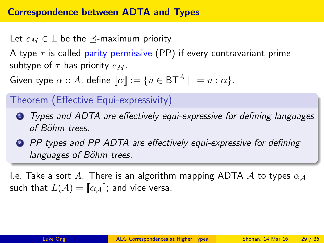Let  $e_M \in \mathbb{E}$  be the  $\prec$ -maximum priority.

A type  $\tau$  is called parity permissive (PP) if every contravariant prime subtype of  $\tau$  has priority  $e_M$ .

Given type  $\alpha$  :: A, define  $\llbracket \alpha \rrbracket := \{u \in \mathsf{BT}^A \mid \; \models u : \alpha\}.$ 

## Theorem (Effective Equi-expressivity)

- **1** Types and ADTA are effectively equi-expressive for defining languages of Böhm trees.
- **2** PP types and PP ADTA are effectively equi-expressive for defining languages of Böhm trees.

I.e. Take a sort A. There is an algorithm mapping ADTA A to types  $\alpha_A$ such that  $L(\mathcal{A}) = [\alpha_{\mathcal{A}}]$ ; and vice versa.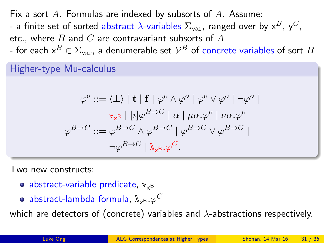<span id="page-27-0"></span>Fix a sort  $A$ . Formulas are indexed by subsorts of  $A$ . Assume:

- a finite set of sorted abstract  $\lambda$ -variables  $\Sigma_{\text{var}}$ , ranged over by  $x^B$ ,  $y^C$ , etc., where B and C are contravariant subsorts of  $A$
- for each  $\mathsf{x}^B\in\Sigma_{\mathrm{var}},$  a denumerable set  $\mathcal{V}^B$  of concrete variables of sort  $B$

### Higher-type Mu-calculus

$$
\varphi^o ::= \langle \bot \rangle \mid \mathbf{t} \mid \mathbf{f} \mid \varphi^o \land \varphi^o \mid \varphi^o \lor \varphi^o \mid \neg \varphi^o \mid
$$

$$
\mathbb{V}_{\mathbf{x}^B} \mid [i] \varphi^{B \to C} \mid \alpha \mid \mu \alpha. \varphi^o \mid \nu \alpha. \varphi^o
$$

$$
\varphi^{B \to C} ::= \varphi^{B \to C} \land \varphi^{B \to C} \mid \varphi^{B \to C} \lor \varphi^{B \to C} \mid
$$

$$
\neg \varphi^{B \to C} \mid \mathbb{A}_{\mathbf{x}^B}.\varphi^C.
$$

Two new constructs:

- abstract-variable predicate,  $\mathbb{v}_{\mathsf{x}^{\mathsf{B}}}$
- $\mathsf{abstract}\text{-}\mathsf{lambda}$  formula,  $\mathbb{A}_{\mathsf{x}^{\mathsf{B}}}.\varphi^C$

which are detectors of (concrete) variables and  $\lambda$ -abstractions respectively.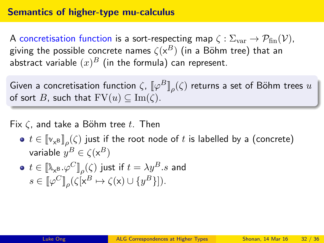### Semantics of higher-type mu-calculus

A concretisation function is a sort-respecting map  $\zeta : \Sigma_{\text{var}} \to \mathcal{P}_{\text{fin}}(\mathcal{V})$ , giving the possible concrete names  $\zeta({\sf x}^B)$  (in a Böhm tree) that an abstract variable  $(x)^B$  (in the formula) can represent.

Given a concretisation function  $\zeta$ ,  $\llbracket \varphi^B \rrbracket_{\rho}(\zeta)$  returns a set of Böhm trees  $u$ of sort B, such that  $FV(u) \subseteq Im(\zeta)$ .

Fix  $\zeta$ , and take a Böhm tree t. Then

 $t\in \llbracket \boldsymbol{{\mathsf{v}}}_{\mathsf{x}} \boldsymbol{{\mathsf{B}}}\rrbracket_\rho(\zeta)$  just if the root node of  $t$  is labelled by a (concrete) variable  $y^B \in \zeta(\mathsf{x}^B)$ 

$$
\begin{aligned}\n\bullet \ \ t \in [\![\mathbb{A}_{\mathsf{x}^{\mathsf{B}}}\cdot\varphi^C]\!]_\rho(\zeta) \ \text{just if} \ t = \lambda y^B.s \ \text{and}\\ \ns \in [\![\varphi^C]\!]_\rho(\zeta[\mathsf{x}^B \mapsto \zeta(\mathsf{x}) \cup \{y^B\}]).\n\end{aligned}
$$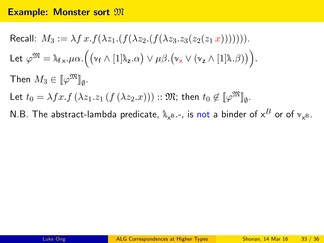#### **Example: Monster sort**  $\mathfrak{M}$

Recall: 
$$
M_3 := \lambda f x.f(\lambda z_1.(f(\lambda z_2.(f(\lambda z_3. z_3(z_2(z_1 x)))))))
$$
  
\nLet  $\varphi^{\mathfrak{M}} = \lambda_{f \times \cdot} \mu \alpha. ((\mathbf{v}_f \wedge [1] \lambda_z . \alpha) \vee \mu \beta. (\mathbf{v}_x \vee (\mathbf{v}_z \wedge [1] \lambda. \beta)))$   
\nThen  $M_3 \in [\![\varphi^{\mathfrak{M}}]\!]_{\emptyset}$ .  
\nLet  $t_0 = \lambda f x.f (\lambda z_1. z_1 (f (\lambda z_2. x)))$  ::  $\mathfrak{M}$ ; then  $t_0 \notin [\![\varphi^{\mathfrak{M}}]\!]_{\emptyset}$ .

N.B. The abstract-lambda predicate,  $\lambda_\mathsf{xB}$ .-, is not a binder of  $\mathsf{x}^B$  or of  $\mathsf{v}_\mathsf{xB}$ .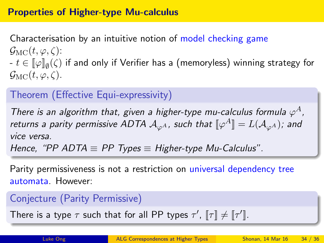Characterisation by an intuitive notion of model checking game  $\mathcal{G}_{\mathrm{MC}}(t,\varphi,\zeta)$ : -  $t\in \llbracket \varphi \rrbracket_\emptyset(\zeta)$  if and only if Verifier has a (memoryless) winning strategy for  $\mathcal{G}_{MC}(t, \varphi, \zeta)$ .

## Theorem (Effective Equi-expressivity)

There is an algorithm that, given a higher-type mu-calculus formula  $\varphi^A$ , returns a parity permissive ADTA  $\mathcal{A}_{\varphi^A}$ , such that  $\llbracket \varphi^A \rrbracket = L(\mathcal{A}_{\varphi^A})$ ; and vice versa.

Hence, "PP ADTA  $\equiv$  PP Types  $\equiv$  Higher-type Mu-Calculus".

Parity permissiveness is not a restriction on universal dependency tree automata. However:

## Conjecture (Parity Permissive)

There is a type  $\tau$  such that for all PP types  $\tau'$ ,  $\llbracket \tau \rrbracket \neq \llbracket \tau' \rrbracket$ .